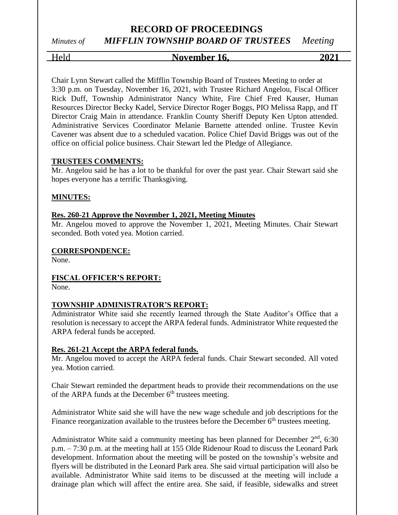*Minutes of MIFFLIN TOWNSHIP BOARD OF TRUSTEES Meeting*

# Held **November 16, 2021**

Chair Lynn Stewart called the Mifflin Township Board of Trustees Meeting to order at 3:30 p.m. on Tuesday, November 16, 2021, with Trustee Richard Angelou, Fiscal Officer Rick Duff, Township Administrator Nancy White, Fire Chief Fred Kauser, Human Resources Director Becky Kadel, Service Director Roger Boggs, PIO Melissa Rapp, and IT Director Craig Main in attendance. Franklin County Sheriff Deputy Ken Upton attended. Administrative Services Coordinator Melanie Barnette attended online. Trustee Kevin Cavener was absent due to a scheduled vacation. Police Chief David Briggs was out of the office on official police business. Chair Stewart led the Pledge of Allegiance.

#### **TRUSTEES COMMENTS:**

Mr. Angelou said he has a lot to be thankful for over the past year. Chair Stewart said she hopes everyone has a terrific Thanksgiving.

#### **MINUTES:**

#### **Res. 260-21 Approve the November 1, 2021, Meeting Minutes**

Mr. Angelou moved to approve the November 1, 2021, Meeting Minutes. Chair Stewart seconded. Both voted yea. Motion carried.

#### **CORRESPONDENCE:**

None.

#### **FISCAL OFFICER'S REPORT:**

None.

#### **TOWNSHIP ADMINISTRATOR'S REPORT:**

Administrator White said she recently learned through the State Auditor's Office that a resolution is necessary to accept the ARPA federal funds. Administrator White requested the ARPA federal funds be accepted.

#### **Res. 261-21 Accept the ARPA federal funds.**

Mr. Angelou moved to accept the ARPA federal funds. Chair Stewart seconded. All voted yea. Motion carried.

Chair Stewart reminded the department heads to provide their recommendations on the use of the ARPA funds at the December  $6<sup>th</sup>$  trustees meeting.

Administrator White said she will have the new wage schedule and job descriptions for the Finance reorganization available to the trustees before the December  $6<sup>th</sup>$  trustees meeting.

Administrator White said a community meeting has been planned for December  $2<sup>nd</sup>$ , 6:30 p.m. – 7:30 p.m. at the meeting hall at 155 Olde Ridenour Road to discuss the Leonard Park development. Information about the meeting will be posted on the township's website and flyers will be distributed in the Leonard Park area. She said virtual participation will also be available. Administrator White said items to be discussed at the meeting will include a drainage plan which will affect the entire area. She said, if feasible, sidewalks and street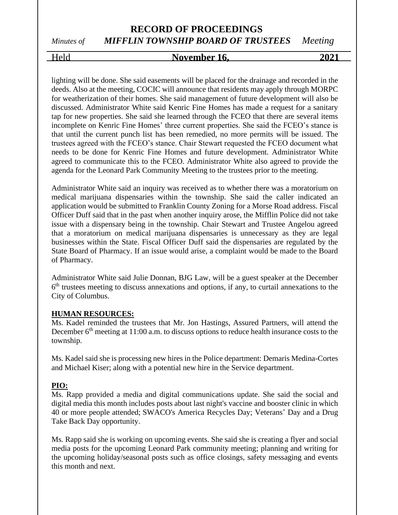# **RECORD OF PROCEEDINGS** *Minutes of MIFFLIN TOWNSHIP BOARD OF TRUSTEES Meeting*

## Held **November 16, 2021**

lighting will be done. She said easements will be placed for the drainage and recorded in the deeds. Also at the meeting, COCIC will announce that residents may apply through MORPC for weatherization of their homes. She said management of future development will also be discussed. Administrator White said Kenric Fine Homes has made a request for a sanitary tap for new properties. She said she learned through the FCEO that there are several items incomplete on Kenric Fine Homes' three current properties. She said the FCEO's stance is that until the current punch list has been remedied, no more permits will be issued. The trustees agreed with the FCEO's stance. Chair Stewart requested the FCEO document what needs to be done for Kenric Fine Homes and future development. Administrator White agreed to communicate this to the FCEO. Administrator White also agreed to provide the agenda for the Leonard Park Community Meeting to the trustees prior to the meeting.

Administrator White said an inquiry was received as to whether there was a moratorium on medical marijuana dispensaries within the township. She said the caller indicated an application would be submitted to Franklin County Zoning for a Morse Road address. Fiscal Officer Duff said that in the past when another inquiry arose, the Mifflin Police did not take issue with a dispensary being in the township. Chair Stewart and Trustee Angelou agreed that a moratorium on medical marijuana dispensaries is unnecessary as they are legal businesses within the State. Fiscal Officer Duff said the dispensaries are regulated by the State Board of Pharmacy. If an issue would arise, a complaint would be made to the Board of Pharmacy.

Administrator White said Julie Donnan, BJG Law, will be a guest speaker at the December 6<sup>th</sup> trustees meeting to discuss annexations and options, if any, to curtail annexations to the City of Columbus.

#### **HUMAN RESOURCES:**

Ms. Kadel reminded the trustees that Mr. Jon Hastings, Assured Partners, will attend the December  $6<sup>th</sup>$  meeting at 11:00 a.m. to discuss options to reduce health insurance costs to the township.

Ms. Kadel said she is processing new hires in the Police department: Demaris Medina-Cortes and Michael Kiser; along with a potential new hire in the Service department.

#### **PIO:**

Ms. Rapp provided a media and digital communications update. She said the social and digital media this month includes posts about last night's vaccine and booster clinic in which 40 or more people attended; SWACO's America Recycles Day; Veterans' Day and a Drug Take Back Day opportunity.

Ms. Rapp said she is working on upcoming events. She said she is creating a flyer and social media posts for the upcoming Leonard Park community meeting; planning and writing for the upcoming holiday/seasonal posts such as office closings, safety messaging and events this month and next.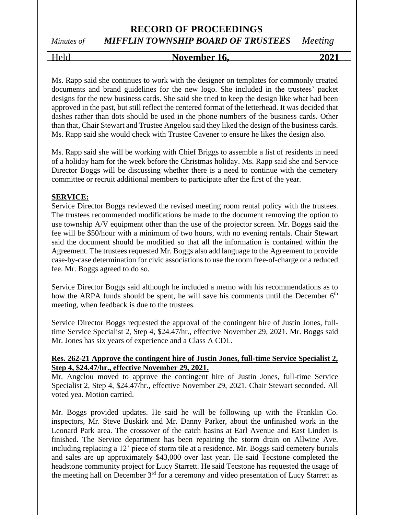# *Minutes of MIFFLIN TOWNSHIP BOARD OF TRUSTEES Meeting*

Held **November 16, 2021**

Ms. Rapp said she continues to work with the designer on templates for commonly created documents and brand guidelines for the new logo. She included in the trustees' packet designs for the new business cards. She said she tried to keep the design like what had been approved in the past, but still reflect the centered format of the letterhead. It was decided that dashes rather than dots should be used in the phone numbers of the business cards. Other than that, Chair Stewart and Trustee Angelou said they liked the design of the business cards. Ms. Rapp said she would check with Trustee Cavener to ensure he likes the design also.

Ms. Rapp said she will be working with Chief Briggs to assemble a list of residents in need of a holiday ham for the week before the Christmas holiday. Ms. Rapp said she and Service Director Boggs will be discussing whether there is a need to continue with the cemetery committee or recruit additional members to participate after the first of the year.

#### **SERVICE:**

Service Director Boggs reviewed the revised meeting room rental policy with the trustees. The trustees recommended modifications be made to the document removing the option to use township A/V equipment other than the use of the projector screen. Mr. Boggs said the fee will be \$50/hour with a minimum of two hours, with no evening rentals. Chair Stewart said the document should be modified so that all the information is contained within the Agreement. The trustees requested Mr. Boggs also add language to the Agreement to provide case-by-case determination for civic associations to use the room free-of-charge or a reduced fee. Mr. Boggs agreed to do so.

Service Director Boggs said although he included a memo with his recommendations as to how the ARPA funds should be spent, he will save his comments until the December  $6<sup>th</sup>$ meeting, when feedback is due to the trustees.

Service Director Boggs requested the approval of the contingent hire of Justin Jones, fulltime Service Specialist 2, Step 4, \$24.47/hr., effective November 29, 2021. Mr. Boggs said Mr. Jones has six years of experience and a Class A CDL.

#### **Res. 262-21 Approve the contingent hire of Justin Jones, full-time Service Specialist 2, Step 4, \$24.47/hr., effective November 29, 2021.**

Mr. Angelou moved to approve the contingent hire of Justin Jones, full-time Service Specialist 2, Step 4, \$24.47/hr., effective November 29, 2021. Chair Stewart seconded. All voted yea. Motion carried.

Mr. Boggs provided updates. He said he will be following up with the Franklin Co. inspectors, Mr. Steve Buskirk and Mr. Danny Parker, about the unfinished work in the Leonard Park area. The crossover of the catch basins at Earl Avenue and East Linden is finished. The Service department has been repairing the storm drain on Allwine Ave. including replacing a 12' piece of storm tile at a residence. Mr. Boggs said cemetery burials and sales are up approximately \$43,000 over last year. He said Tecstone completed the headstone community project for Lucy Starrett. He said Tecstone has requested the usage of the meeting hall on December  $3<sup>rd</sup>$  for a ceremony and video presentation of Lucy Starrett as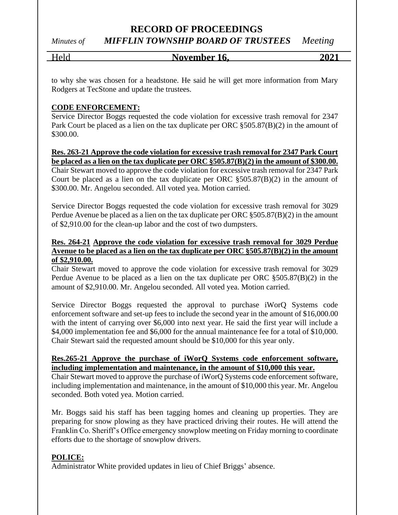# *Minutes of MIFFLIN TOWNSHIP BOARD OF TRUSTEES Meeting*

Held **November 16, 2021**

to why she was chosen for a headstone. He said he will get more information from Mary Rodgers at TecStone and update the trustees.

#### **CODE ENFORCEMENT:**

Service Director Boggs requested the code violation for excessive trash removal for 2347 Park Court be placed as a lien on the tax duplicate per ORC §505.87(B)(2) in the amount of \$300.00.

**Res. 263-21 Approve the code violation for excessive trash removal for 2347 Park Court be placed as a lien on the tax duplicate per ORC §505.87(B)(2) in the amount of \$300.00.** Chair Stewart moved to approve the code violation for excessive trash removal for 2347 Park Court be placed as a lien on the tax duplicate per ORC  $\S 505.87(B)(2)$  in the amount of \$300.00. Mr. Angelou seconded. All voted yea. Motion carried.

Service Director Boggs requested the code violation for excessive trash removal for 3029 Perdue Avenue be placed as a lien on the tax duplicate per ORC §505.87(B)(2) in the amount of \$2,910.00 for the clean-up labor and the cost of two dumpsters.

#### **Res. 264-21 Approve the code violation for excessive trash removal for 3029 Perdue Avenue to be placed as a lien on the tax duplicate per ORC §505.87(B)(2) in the amount of \$2,910.00.**

Chair Stewart moved to approve the code violation for excessive trash removal for 3029 Perdue Avenue to be placed as a lien on the tax duplicate per ORC §505.87(B)(2) in the amount of \$2,910.00. Mr. Angelou seconded. All voted yea. Motion carried.

Service Director Boggs requested the approval to purchase iWorQ Systems code enforcement software and set-up fees to include the second year in the amount of \$16,000.00 with the intent of carrying over \$6,000 into next year. He said the first year will include a \$4,000 implementation fee and \$6,000 for the annual maintenance fee for a total of \$10,000. Chair Stewart said the requested amount should be \$10,000 for this year only.

#### **Res.265-21 Approve the purchase of iWorQ Systems code enforcement software, including implementation and maintenance, in the amount of \$10,000 this year.**

Chair Stewart moved to approve the purchase of iWorQ Systems code enforcement software, including implementation and maintenance, in the amount of \$10,000 this year. Mr. Angelou seconded. Both voted yea. Motion carried.

Mr. Boggs said his staff has been tagging homes and cleaning up properties. They are preparing for snow plowing as they have practiced driving their routes. He will attend the Franklin Co. Sheriff's Office emergency snowplow meeting on Friday morning to coordinate efforts due to the shortage of snowplow drivers.

#### **POLICE:**

Administrator White provided updates in lieu of Chief Briggs' absence.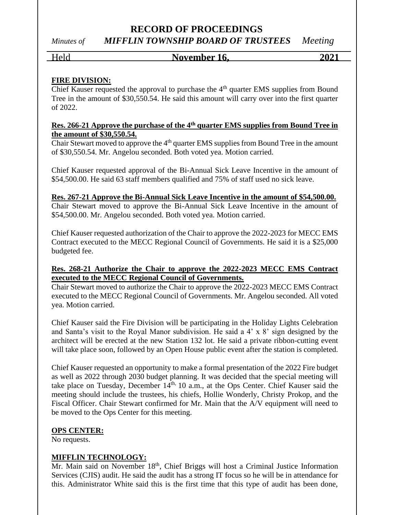## **RECORD OF PROCEEDINGS** *Minutes of MIFFLIN TOWNSHIP BOARD OF TRUSTEES Meeting*

#### Held **November 16, 2021**

## **FIRE DIVISION:**

Chief Kauser requested the approval to purchase the  $4<sup>th</sup>$  quarter EMS supplies from Bound Tree in the amount of \$30,550.54. He said this amount will carry over into the first quarter of 2022.

#### **Res. 266-21 Approve the purchase of the 4th quarter EMS supplies from Bound Tree in the amount of \$30,550.54.**

Chair Stewart moved to approve the  $4<sup>th</sup>$  quarter EMS supplies from Bound Tree in the amount of \$30,550.54. Mr. Angelou seconded. Both voted yea. Motion carried.

Chief Kauser requested approval of the Bi-Annual Sick Leave Incentive in the amount of \$54,500.00. He said 63 staff members qualified and 75% of staff used no sick leave.

#### **Res. 267-21 Approve the Bi-Annual Sick Leave Incentive in the amount of \$54,500.00.**

Chair Stewart moved to approve the Bi-Annual Sick Leave Incentive in the amount of \$54,500.00. Mr. Angelou seconded. Both voted yea. Motion carried.

Chief Kauser requested authorization of the Chair to approve the 2022-2023 for MECC EMS Contract executed to the MECC Regional Council of Governments. He said it is a \$25,000 budgeted fee.

#### **Res. 268-21 Authorize the Chair to approve the 2022-2023 MECC EMS Contract executed to the MECC Regional Council of Governments.**

Chair Stewart moved to authorize the Chair to approve the 2022-2023 MECC EMS Contract executed to the MECC Regional Council of Governments. Mr. Angelou seconded. All voted yea. Motion carried.

Chief Kauser said the Fire Division will be participating in the Holiday Lights Celebration and Santa's visit to the Royal Manor subdivision. He said a 4' x 8' sign designed by the architect will be erected at the new Station 132 lot. He said a private ribbon-cutting event will take place soon, followed by an Open House public event after the station is completed.

Chief Kauser requested an opportunity to make a formal presentation of the 2022 Fire budget as well as 2022 through 2030 budget planning. It was decided that the special meeting will take place on Tuesday, December  $14<sup>th</sup>$ , 10 a.m., at the Ops Center. Chief Kauser said the meeting should include the trustees, his chiefs, Hollie Wonderly, Christy Prokop, and the Fiscal Officer. Chair Stewart confirmed for Mr. Main that the A/V equipment will need to be moved to the Ops Center for this meeting.

#### **OPS CENTER:**

No requests.

#### **MIFFLIN TECHNOLOGY:**

Mr. Main said on November 18<sup>th</sup>, Chief Briggs will host a Criminal Justice Information Services (CJIS) audit. He said the audit has a strong IT focus so he will be in attendance for this. Administrator White said this is the first time that this type of audit has been done,